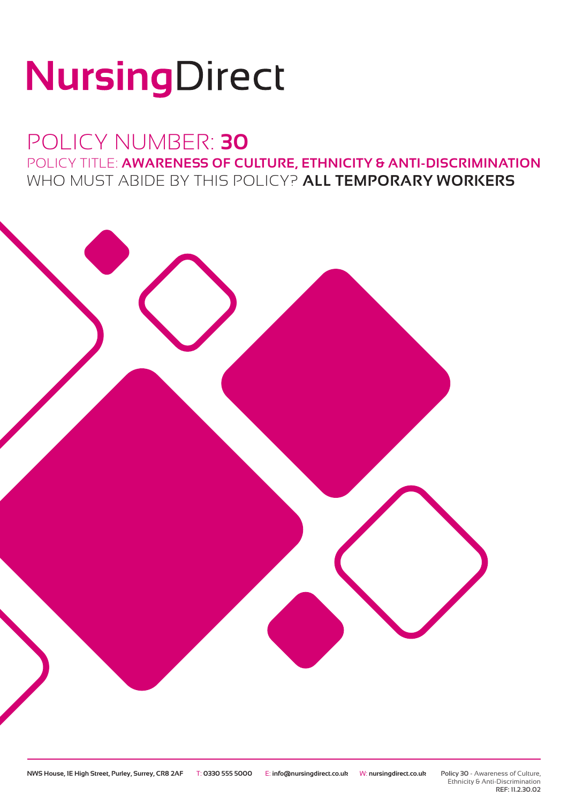# NursingDirect

## POLICY NUMBER: **30** POLICY TITLE: **AWARENESS OF CULTURE, ETHNICITY & ANTI-DISCRIMINATION** WHO MUST ABIDE BY THIS POLICY? **ALL TEMPORARY WORKERS**